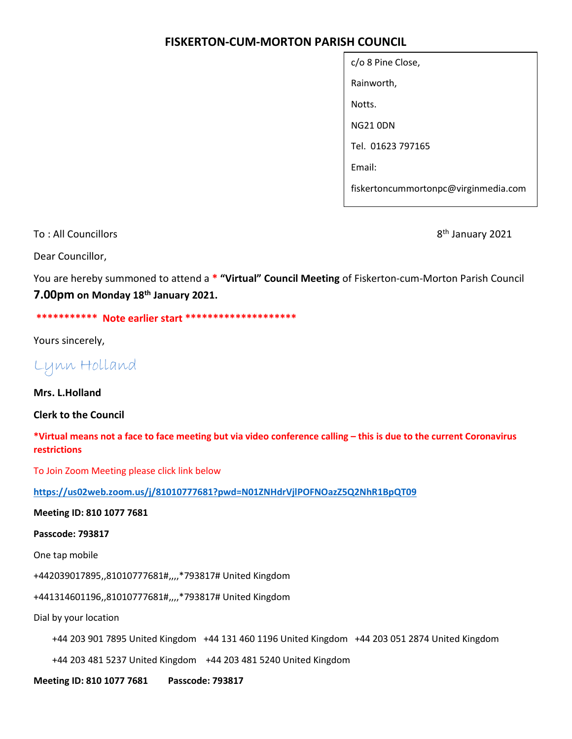# FISKERTON-CUM-MORTON PARISH COUNCIL

| c/o 8 Pine Close,                    |
|--------------------------------------|
| Rainworth,                           |
| Notts.                               |
| <b>NG21 ODN</b>                      |
| Tel. 01623 797165                    |
| Fmail:                               |
| fiskertoncummortonpc@virginmedia.com |

To : All Councillors 8<sup>th</sup> January 2021

Dear Councillor,

You are hereby summoned to attend a \* "Virtual" Council Meeting of Fiskerton-cum-Morton Parish Council 7.00pm on Monday 18th January 2021.

\*\*\*\*\*\*\*\*\*\*\* Note earlier start \*\*\*\*\*\*\*\*\*\*\*\*\*\*\*\*\*\*\*\*

Yours sincerely,

Lynn Holland

Mrs. L.Holland

Clerk to the Council

\*Virtual means not a face to face meeting but via video conference calling – this is due to the current Coronavirus restrictions

To Join Zoom Meeting please click link below

https://us02web.zoom.us/j/81010777681?pwd=N01ZNHdrVjlPOFNOazZ5Q2NhR1BpQT09

Meeting ID: 810 1077 7681

Passcode: 793817

One tap mobile

+442039017895,,81010777681#,,,,\*793817# United Kingdom

+441314601196,,81010777681#,,,,\*793817# United Kingdom

Dial by your location

+44 203 901 7895 United Kingdom +44 131 460 1196 United Kingdom +44 203 051 2874 United Kingdom

+44 203 481 5237 United Kingdom +44 203 481 5240 United Kingdom

Meeting ID: 810 1077 7681 Passcode: 793817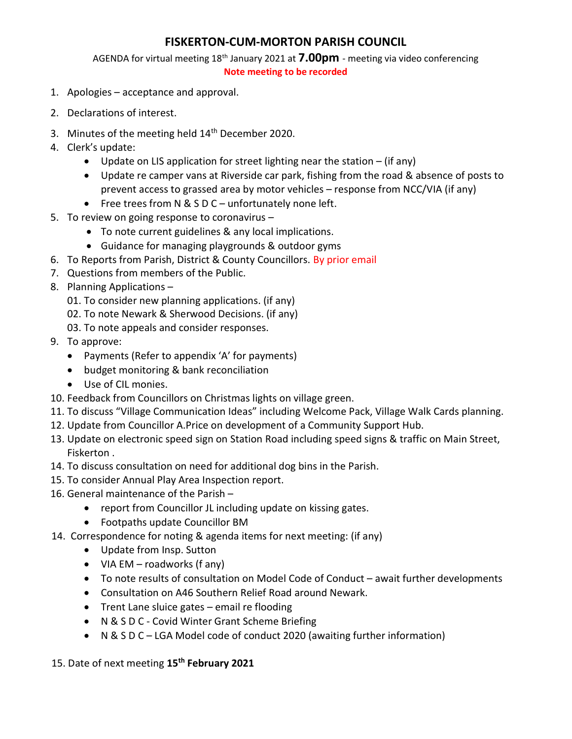# FISKERTON-CUM-MORTON PARISH COUNCIL

AGENDA for virtual meeting 18<sup>th</sup> January 2021 at **7.00pm** - meeting via video conferencing

#### Note meeting to be recorded

- 1. Apologies acceptance and approval.
- 2. Declarations of interest.
- 3. Minutes of the meeting held 14<sup>th</sup> December 2020.
- 4. Clerk's update:
	- Update on LIS application for street lighting near the station (if any)
	- Update re camper vans at Riverside car park, fishing from the road & absence of posts to prevent access to grassed area by motor vehicles – response from NCC/VIA (if any)
	- Free trees from N & S D C unfortunately none left.
- 5. To review on going response to coronavirus
	- To note current guidelines & any local implications.
	- Guidance for managing playgrounds & outdoor gyms
- 6. To Reports from Parish, District & County Councillors. By prior email
- 7. Questions from members of the Public.
- 8. Planning Applications
	- 01. To consider new planning applications. (if any)
	- 02. To note Newark & Sherwood Decisions. (if any)
	- 03. To note appeals and consider responses.
- 9. To approve:
	- Payments (Refer to appendix 'A' for payments)
	- budget monitoring & bank reconciliation
	- Use of CIL monies.
- 10. Feedback from Councillors on Christmas lights on village green.
- 11. To discuss "Village Communication Ideas" including Welcome Pack, Village Walk Cards planning.
- 12. Update from Councillor A.Price on development of a Community Support Hub.
- 13. Update on electronic speed sign on Station Road including speed signs & traffic on Main Street, Fiskerton .
- 14. To discuss consultation on need for additional dog bins in the Parish.
- 15. To consider Annual Play Area Inspection report.
- 16. General maintenance of the Parish
	- report from Councillor JL including update on kissing gates.
	- Footpaths update Councillor BM
- 14. Correspondence for noting & agenda items for next meeting: (if any)
	- Update from Insp. Sutton
	- VIA EM roadworks (f any)
	- To note results of consultation on Model Code of Conduct await further developments
	- Consultation on A46 Southern Relief Road around Newark.
	- Trent Lane sluice gates email re flooding
	- N & S D C Covid Winter Grant Scheme Briefing
	- N & S D C LGA Model code of conduct 2020 (awaiting further information)

### 15. Date of next meeting 15<sup>th</sup> February 2021